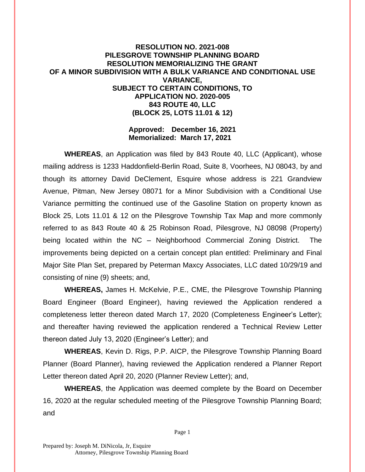## **RESOLUTION NO. 2021-008 PILESGROVE TOWNSHIP PLANNING BOARD RESOLUTION MEMORIALIZING THE GRANT OF A MINOR SUBDIVISION WITH A BULK VARIANCE AND CONDITIONAL USE VARIANCE, SUBJECT TO CERTAIN CONDITIONS, TO APPLICATION NO. 2020-005 843 ROUTE 40, LLC (BLOCK 25, LOTS 11.01 & 12)**

## **Approved: December 16, 2021 Memorialized: March 17, 2021**

**WHEREAS**, an Application was filed by 843 Route 40, LLC (Applicant), whose mailing address is 1233 Haddonfield-Berlin Road, Suite 8, Voorhees, NJ 08043, by and though its attorney David DeClement, Esquire whose address is 221 Grandview Avenue, Pitman, New Jersey 08071 for a Minor Subdivision with a Conditional Use Variance permitting the continued use of the Gasoline Station on property known as Block 25, Lots 11.01 & 12 on the Pilesgrove Township Tax Map and more commonly referred to as 843 Route 40 & 25 Robinson Road, Pilesgrove, NJ 08098 (Property) being located within the NC – Neighborhood Commercial Zoning District. The improvements being depicted on a certain concept plan entitled: Preliminary and Final Major Site Plan Set, prepared by Peterman Maxcy Associates, LLC dated 10/29/19 and consisting of nine (9) sheets; and,

**WHEREAS,** James H. McKelvie, P.E., CME, the Pilesgrove Township Planning Board Engineer (Board Engineer), having reviewed the Application rendered a completeness letter thereon dated March 17, 2020 (Completeness Engineer's Letter); and thereafter having reviewed the application rendered a Technical Review Letter thereon dated July 13, 2020 (Engineer's Letter); and

**WHEREAS**, Kevin D. Rigs, P.P. AICP, the Pilesgrove Township Planning Board Planner (Board Planner), having reviewed the Application rendered a Planner Report Letter thereon dated April 20, 2020 (Planner Review Letter); and,

**WHEREAS**, the Application was deemed complete by the Board on December 16, 2020 at the regular scheduled meeting of the Pilesgrove Township Planning Board; and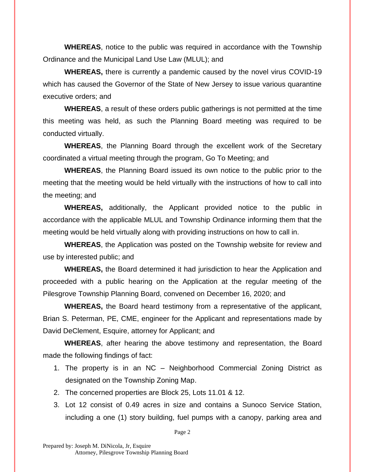**WHEREAS**, notice to the public was required in accordance with the Township Ordinance and the Municipal Land Use Law (MLUL); and

**WHEREAS,** there is currently a pandemic caused by the novel virus COVID-19 which has caused the Governor of the State of New Jersey to issue various quarantine executive orders; and

**WHEREAS**, a result of these orders public gatherings is not permitted at the time this meeting was held, as such the Planning Board meeting was required to be conducted virtually.

**WHEREAS**, the Planning Board through the excellent work of the Secretary coordinated a virtual meeting through the program, Go To Meeting; and

**WHEREAS**, the Planning Board issued its own notice to the public prior to the meeting that the meeting would be held virtually with the instructions of how to call into the meeting; and

**WHEREAS,** additionally, the Applicant provided notice to the public in accordance with the applicable MLUL and Township Ordinance informing them that the meeting would be held virtually along with providing instructions on how to call in.

**WHEREAS**, the Application was posted on the Township website for review and use by interested public; and

**WHEREAS,** the Board determined it had jurisdiction to hear the Application and proceeded with a public hearing on the Application at the regular meeting of the Pilesgrove Township Planning Board, convened on December 16, 2020; and

**WHEREAS,** the Board heard testimony from a representative of the applicant, Brian S. Peterman, PE, CME, engineer for the Applicant and representations made by David DeClement, Esquire, attorney for Applicant; and

**WHEREAS**, after hearing the above testimony and representation, the Board made the following findings of fact:

- 1. The property is in an NC Neighborhood Commercial Zoning District as designated on the Township Zoning Map.
- 2. The concerned properties are Block 25, Lots 11.01 & 12.
- 3. Lot 12 consist of 0.49 acres in size and contains a Sunoco Service Station, including a one (1) story building, fuel pumps with a canopy, parking area and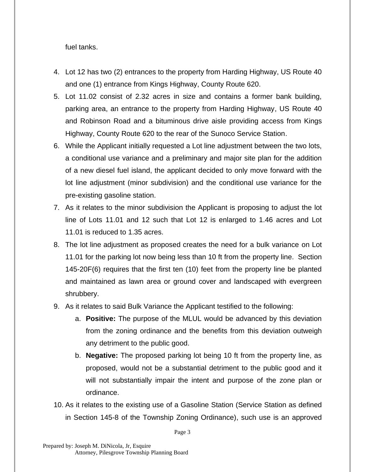fuel tanks.

- 4. Lot 12 has two (2) entrances to the property from Harding Highway, US Route 40 and one (1) entrance from Kings Highway, County Route 620.
- 5. Lot 11.02 consist of 2.32 acres in size and contains a former bank building, parking area, an entrance to the property from Harding Highway, US Route 40 and Robinson Road and a bituminous drive aisle providing access from Kings Highway, County Route 620 to the rear of the Sunoco Service Station.
- 6. While the Applicant initially requested a Lot line adjustment between the two lots, a conditional use variance and a preliminary and major site plan for the addition of a new diesel fuel island, the applicant decided to only move forward with the lot line adjustment (minor subdivision) and the conditional use variance for the pre-existing gasoline station.
- 7. As it relates to the minor subdivision the Applicant is proposing to adjust the lot line of Lots 11.01 and 12 such that Lot 12 is enlarged to 1.46 acres and Lot 11.01 is reduced to 1.35 acres.
- 8. The lot line adjustment as proposed creates the need for a bulk variance on Lot 11.01 for the parking lot now being less than 10 ft from the property line. Section 145-20F(6) requires that the first ten (10) feet from the property line be planted and maintained as lawn area or ground cover and landscaped with evergreen shrubbery.
- 9. As it relates to said Bulk Variance the Applicant testified to the following:
	- a. **Positive:** The purpose of the MLUL would be advanced by this deviation from the zoning ordinance and the benefits from this deviation outweigh any detriment to the public good.
	- b. **Negative:** The proposed parking lot being 10 ft from the property line, as proposed, would not be a substantial detriment to the public good and it will not substantially impair the intent and purpose of the zone plan or ordinance.
- 10. As it relates to the existing use of a Gasoline Station (Service Station as defined in Section 145-8 of the Township Zoning Ordinance), such use is an approved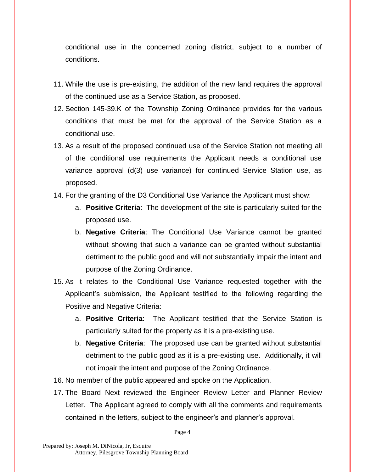conditional use in the concerned zoning district, subject to a number of conditions.

- 11. While the use is pre-existing, the addition of the new land requires the approval of the continued use as a Service Station, as proposed.
- 12. Section 145-39.K of the Township Zoning Ordinance provides for the various conditions that must be met for the approval of the Service Station as a conditional use.
- 13. As a result of the proposed continued use of the Service Station not meeting all of the conditional use requirements the Applicant needs a conditional use variance approval (d(3) use variance) for continued Service Station use, as proposed.
- 14. For the granting of the D3 Conditional Use Variance the Applicant must show:
	- a. **Positive Criteria**: The development of the site is particularly suited for the proposed use.
	- b. **Negative Criteria**: The Conditional Use Variance cannot be granted without showing that such a variance can be granted without substantial detriment to the public good and will not substantially impair the intent and purpose of the Zoning Ordinance.
- 15. As it relates to the Conditional Use Variance requested together with the Applicant's submission, the Applicant testified to the following regarding the Positive and Negative Criteria:
	- a. **Positive Criteria**: The Applicant testified that the Service Station is particularly suited for the property as it is a pre-existing use.
	- b. **Negative Criteria**: The proposed use can be granted without substantial detriment to the public good as it is a pre-existing use. Additionally, it will not impair the intent and purpose of the Zoning Ordinance.
- 16. No member of the public appeared and spoke on the Application.
- 17. The Board Next reviewed the Engineer Review Letter and Planner Review Letter. The Applicant agreed to comply with all the comments and requirements contained in the letters, subject to the engineer's and planner's approval.

Page 4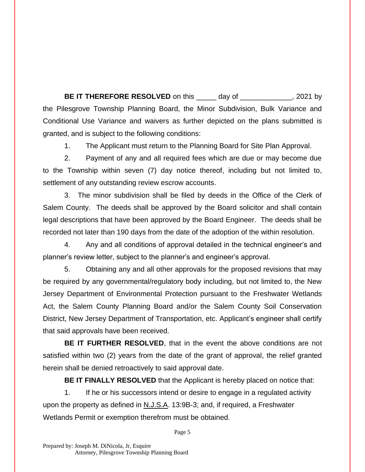**BE IT THEREFORE RESOLVED** on this \_\_\_\_\_ day of \_\_\_\_\_\_\_\_\_\_\_\_, 2021 by the Pilesgrove Township Planning Board, the Minor Subdivision, Bulk Variance and Conditional Use Variance and waivers as further depicted on the plans submitted is granted, and is subject to the following conditions:

1. The Applicant must return to the Planning Board for Site Plan Approval.

2. Payment of any and all required fees which are due or may become due to the Township within seven (7) day notice thereof, including but not limited to, settlement of any outstanding review escrow accounts.

3. The minor subdivision shall be filed by deeds in the Office of the Clerk of Salem County. The deeds shall be approved by the Board solicitor and shall contain legal descriptions that have been approved by the Board Engineer. The deeds shall be recorded not later than 190 days from the date of the adoption of the within resolution.

4. Any and all conditions of approval detailed in the technical engineer's and planner's review letter, subject to the planner's and engineer's approval.

5. Obtaining any and all other approvals for the proposed revisions that may be required by any governmental/regulatory body including, but not limited to, the New Jersey Department of Environmental Protection pursuant to the Freshwater Wetlands Act, the Salem County Planning Board and/or the Salem County Soil Conservation District, New Jersey Department of Transportation, etc. Applicant's engineer shall certify that said approvals have been received.

**BE IT FURTHER RESOLVED**, that in the event the above conditions are not satisfied within two (2) years from the date of the grant of approval, the relief granted herein shall be denied retroactively to said approval date.

**BE IT FINALLY RESOLVED** that the Applicant is hereby placed on notice that:

1. If he or his successors intend or desire to engage in a regulated activity upon the property as defined in N.J.S.A. 13:9B-3; and, if required, a Freshwater Wetlands Permit or exemption therefrom must be obtained.

Page 5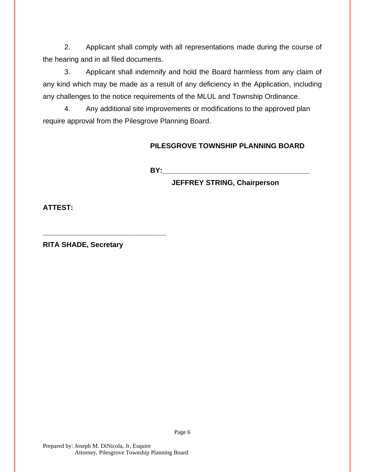2. Applicant shall comply with all representations made during the course of the hearing and in all filed documents.

3. Applicant shall indemnify and hold the Board harmless from any claim of any kind which may be made as a result of any deficiency in the Application, including any challenges to the notice requirements of the MLUL and Township Ordinance.

4. Any additional site improvements or modifications to the approved plan require approval from the Pilesgrove Planning Board.

## **PILESGROVE TOWNSHIP PLANNING BOARD**

**BY:** 

**JEFFREY STRING, Chairperson**

**ATTEST:**

**RITA SHADE, Secretary**

**\_\_\_\_\_\_\_\_\_\_\_\_\_\_\_\_\_\_\_\_\_\_\_\_\_\_\_\_\_\_\_**